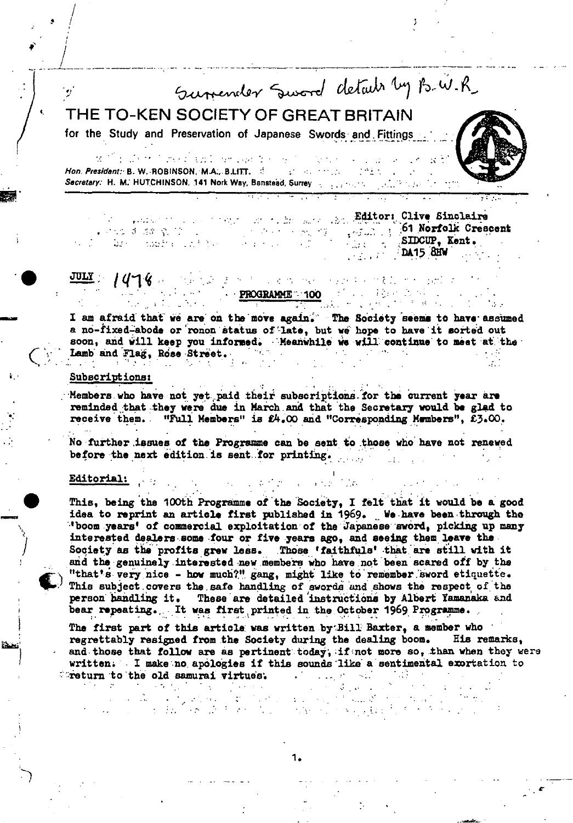Sumeraler Sword details by B.W.R.

# THE TO-KEN SOCIETY OF GREAT BRITAIN

for the Study and Preservation of Japanese Swords and Fittings

in de la completa de la población de la completa de la completa de la completa de la completa de la completa d  $\mathcal{N}^{(n)}$ Hon. President: B. W. ROBINSON, M.A., B.LITT. 3 2006 1000 10001 Secretary: H. M. HUTCHINSON, 141 Nork Way, Banstead, Surrey

which is a strong on the same has Editori Clive Singlaire **Started Koreacent** Contract Contract Contract Contract Creacent Contract Contract Contract Contract Contract Cont<br>Contract Contract Contract Contract Contract Contract Contract Contract Contract Contract Contract Contract Alban (Alba) DA15 BEW 

#### **PROGRAMME 100** 100 100  $\overline{135}$  and  $\overline{135}$  and  $\overline{135}$

I am afraid that we are on the move again. The Society seems to have assumed a no-fixed-abode or ronon status of late, but we hope to have it sorted out soon, and will keep you informed. Meanwhile we will continue to meet at the Lamb and Flag, Rose Street.  $\sim$   $\sim$ 

法国外的 医牙腔 网络人名英格兰人姓氏拉伯的

## Subscriptions:

Members who have not yet paid their subscriptions for the current year are reminded that they were due in March and that the Secretary would be glad to receive them. "Full Members" is £4.00 and "Corresponding Members", £3.00.

No further issues of the Programme can be sent to those who have not renewed before the next edition is sent for printing.

#### Editorial:

 $\sim 100$ 

 $\sim 700 M_{\odot}$  .

 $\Delta \phi = 0.0000$  and  $\phi = 0.000$  $\sim 10^6$  $\mathcal{L}(\mathbf{p})$  ,  $\mathcal{L}(\mathbf{p})$  ,  $\mathcal{L}(\mathbf{p})$ 

This, being the 100th Programme of the Society, I felt that it would be a good idea to reprint an article first published in 1969. We have been through the "boom years' of commercial exploitation of the Japanese sword, picking up many interested dealers some four or five years ago, and seeing them leave the Society as the profits grew less. Those 'faithfuls' that are still with it and the genuinely interested new members who have not been scared off by the "that's very nice - how much?" gang, might like to remember sword etiquette. This subject covers the safe handling of swords and shows the respect of the person handling it. These are detailed instructions by Albert Yamanaka and bear repeating. It was first printed in the October 1969 Programme.

The first part of this article was written by Bill Baxter, a member who regrettably resigned from the Society during the dealing boom. His remarks, and those that follow are as pertinent today, if not more so, than when they were written. I make no apologies if this sounds like a sentimental exortation to freturn to the old samurai virtues. **Contractor** 

 $\sim 100$ 

 $\langle \cdot \rangle_{\mathcal{C}} \simeq \langle \cdot \rangle_{\mathcal{C}}$  in  $\mathcal{C}^1$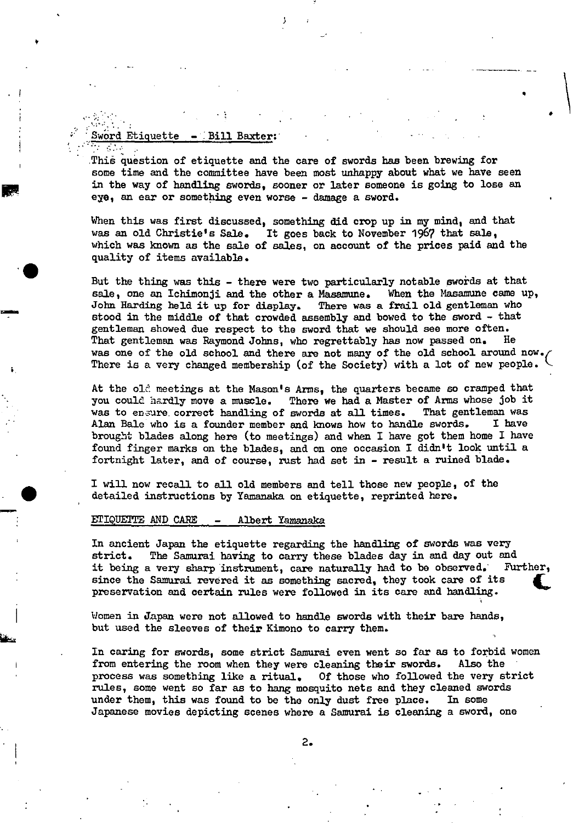#### Sword Etiquette - Bill Baxter:

p

This question of etiquette and the care of swords has been brewing for some time and the committee have been most unhappy about what we have seen in the way of handling swords, sooner or later someone is going to lose an eye, an ear or something even worse - damage a sword.

.

When this was first discussed, something did crop up in my mind, and that was an old Christie's Sale. It goes back to November 1967 that sale, which was known as the sale of sales, on account of the prices paid and the . quality of items available.

But the thing was this - there were two particularly notable swords at that sale, one an Ichimonji and the other a Masamune. When the Masamune came up, John Harding held it up for display. There was a frail old gentleman who stood in the middle of that crowded assembly and bowed to the sword - that gentleman showed due respect to the sword that we should see more often. That gentleman was Raymond Johns, who regrettably has now passed on. He was one of the old school and there are not many of the old school around now. There is a very changed membership (of the Society) with a lot of new people.

At the old meetings at the Mason's Arms, the quarters became so cramped that you could hardly move a muscle. There we had a Master of Arms whose job it was to ensure correct handling of swords at all times. That gentleman was Alan Bale who is a founder member and knows how to handle swords. I have Alan Bale who is a founder member and knows how to handle swords. brought blades along here (to meetings) and when I have got them home I have found finger marks on the blades, and on one occasion I didn't look until a fortnight later, and of course, rust had set in - result a ruined blade.

I will now recall to all old members and tell those new people, of the detailed instructions by Yamanaka on etiquette, reprinted here.

#### ETIQUETTE AND CARE - Albert Yamanaka

In ancient Japan the etiquette regarding the handling of swords was very strict. The Samurai having to carry these blades day in and day out and<br>it being a very sharp instrument, care naturally had to be observed. Further, it being a very sharp instrument, care naturally had to be observed. since the Samurai revered it as something sacred, they took care of its preservation and certain rules were followed in its care and handling.

Women in Japan were not allowed to handle swords with their bare hands, but used the sleeves of their Kimono to carry them.

In caring for swords, some strict Samurai even went so far as to forbid women from entering the room when they were cleaning their swords. Also the process was something like a ritual. Of those who followed the very strict rules, some went so far as to hang mosquito nets and they cleaned swords under them, this was found to be the only dust free place. In some Japanese movies depicting scenes where a Samurai is cleaning a sword, one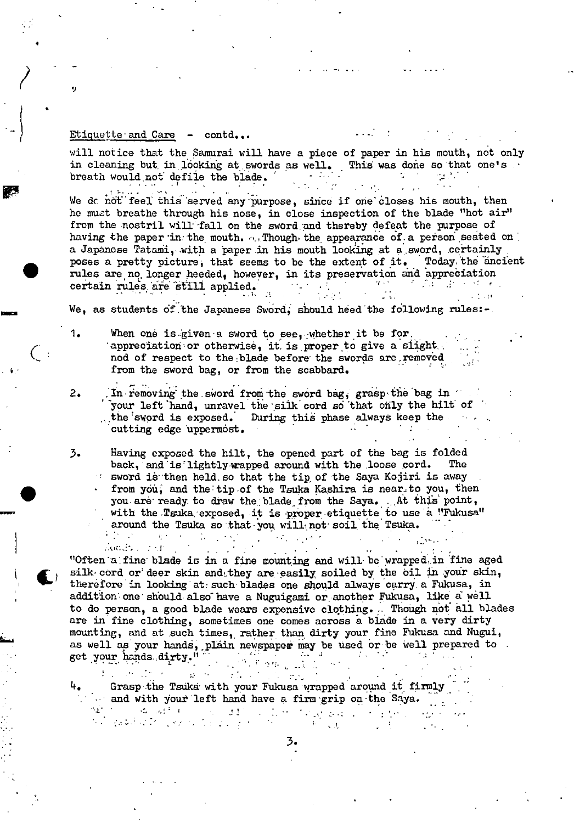will notice that the Samurai will have a piece of paper in his mouth, not only in cleaning but, in looking at swords as well. This was done so that one's  $\cdot$  breath would not defile the blade. breath would not defile the blade.  $\blacksquare$ 

We do not feel this served any purpose, since if one closes his mouth, then he must breathe through his nose, in close inspection of the blade "hot air" from the nostril will fall on the sword and thereby defeat the purpose of having the paper in the mouth. ... Though the appearance of a person seated on a Japanese Tatami, with a paper in his mouth looking at a sword, certainly poses a pretty picture, that seems to be the extent of it. Today the ancient rules are no longer heeded, however, in its preservation and appreciation certain rules are still applied. certain rules are still applied.

We, as students of the Japanese Sword, should heed the following rules:-

- 1. When one is given a sword to see, whether it be for. appreciation or otherwise, it is proper to give a slight. nod of respect to the blade before the swords are.removed from the sword bag, or from the scabbard.
- 2. In removing the sword from the sword bag, grasp the bag in your left hand, unravel the silk cord so that only the hilt of the sword is exposed. During this phase always keep the During this phase always keep the  $\cdots$ cutting edge uppermost.

3. Having exposed the hilt, the opened part of the bag is folded back, and is lightly wapped around with the loose cord.  $\sim$  sword is then held so that the tip of the Saya Kojiri is away from you, and the tip of the Tsuka Kashira is near to you, then you are ready to draw the blade from the Saya. At this point, with the Tsuka exposed, it is proper etiquette to use a "Fukusa" around the Tsuka so that you will not soil the Tsuka.  $\mathcal{R}^{(1,1)}$  .  $\mathcal{L}^{\text{max}}_{\text{max}}$  , where  $\mathcal{L}^{\text{max}}_{\text{max}}$  $\langle\phi_{\alpha\beta}\rangle_{\alpha\beta}=\langle\phi_{\alpha\beta}\rangle_{\alpha\beta}$  and  $\sigma$ 

 $\mathbb{R}^2$ 

slodari - 17dh "Often'a:fine' blade is in a fine mounting and will bewrapped.in 'fine aged silk cord or deer skin and they are easily soiled by the oil in your skin, therefore in looking at: such blades one should always carry a Fukusa, in addition one should- also" have a Nuguigami or another Fukusa, like a well to do person, a good blade wears expensive clothing... Though not all blades are in fine clothing, sometimes one comes across a blade in a very dirty mounting, and at such times, rather than dirty your fine Fukusa and Nugui, as well as your hands, plain newspaper may be used or be well prepared to get your hands dirty." get your hands dirty."

1• Grasp the Tsuka with your Fukusa wrapped around it firmly  $\mathcal{L}_{\text{max}}$  $1 - 100$ and with your left hand have a firm grip on the Saya.<br> $\mathcal{A}$  is a set of the same state  $\mathcal{A}$  is a set of the same state  $\mathcal{A}$ 

 $1.21 - 1.1$ 

a shekara ta 1970 (Alan S

3 .

 $\sqrt{2}$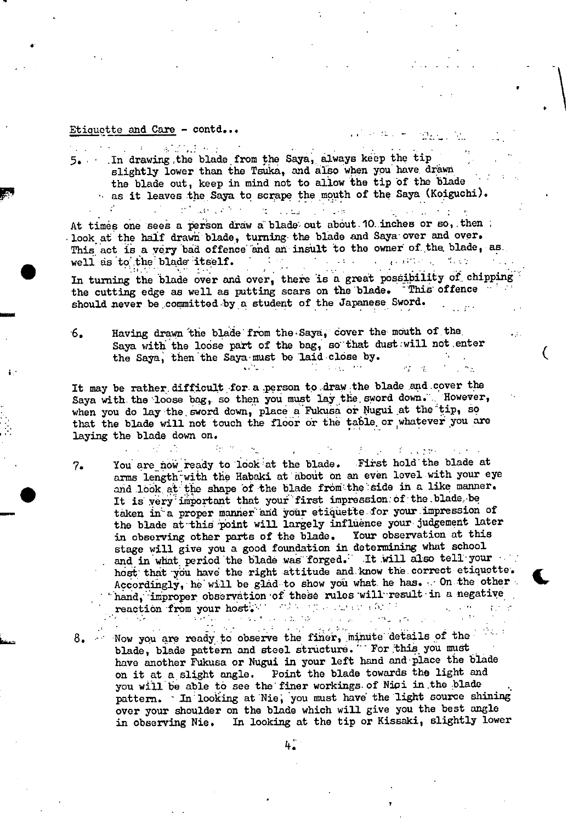8.

 $\mathcal{L}^{\text{max}}_{\text{max}}$  and 5. In drawing, the blade from the Saya, always keep the tip slightly lower than the Tsuka, and also when you have drawn the blade out, keep in mind not to allow the tip of the blade as it leaves the Saya to scrape the mouth of the Saya (Koiguchi).

 $\mathcal{L}_{\text{max}}$  and  $\mathcal{L}_{\text{max}}$ 

At times one sees a person draw a blade out about 10 inches or so, then look at the half drawn blade, turning the blade and Saya over and over. This act is a very bad offence and an insult to the owner of the blade, as

de collaborat del

well as to the blade itself.<br>In turning the blade over and over, there is a great possibility of chipping the cutting edge as well as putting scars on the blade. This offence should never be committed by a student of the Japanese Sword.

Having drawn the blade from the Saya, cover the mouth of the  $6.$ Saya with the loose part of the bag, so that dust will not enter the Saya, then the Saya must be laid close by.  $\mathcal{L} = \{ \mathcal{L}_1, \mathcal{L}_2, \ldots, \mathcal{L}_N \}$  $\mathcal{L}_2 = \mathcal{L}_1$ 

It may be rather difficult for a person to draw the blade and cover the Saya with the loose bag, so then you must lay the sword down. However, when you do lay the sword down, place a Fukusa or Nugui at the tip, so that the blade will not touch the floor or the table or whatever you are laying the blade down on.

あい スページ

You are now ready to look at the blade. First hold the blade at  $7.$ arms length with the Habaki at about on an even level with your eye and look at the shape of the blade from the side in a like manner. It is very important that your first impression of the blade be taken in a proper manner and your etiquette for your impression of the blade at this point will largely influence your judgement later in observing other parts of the blade. Your observation at this stage will give you a good foundation in determining what school and in what period the blade was forged. It will also tell your host that you have the right attitude and know the correct etiquette. Accordingly, he will be glad to show you what he has. On the other hand, improper observation of these rules will result in a negative reaction from your host. We want the change of 

データー チュマラヤー

Now you are ready to observe the finer, minute details of the blade, blade pattern and steel structure. " For this you must have another Fukusa or Nugui in your left hand and place the blade on it at a slight angle. Point the blade towards the light and you will be able to see the finer workings of Nioi in the blade pattern. In looking at Nie, you must have the light source shining over your shoulder on the blade which will give you the best angle in observing Nie. In looking at the tip or Kissaki, slightly lower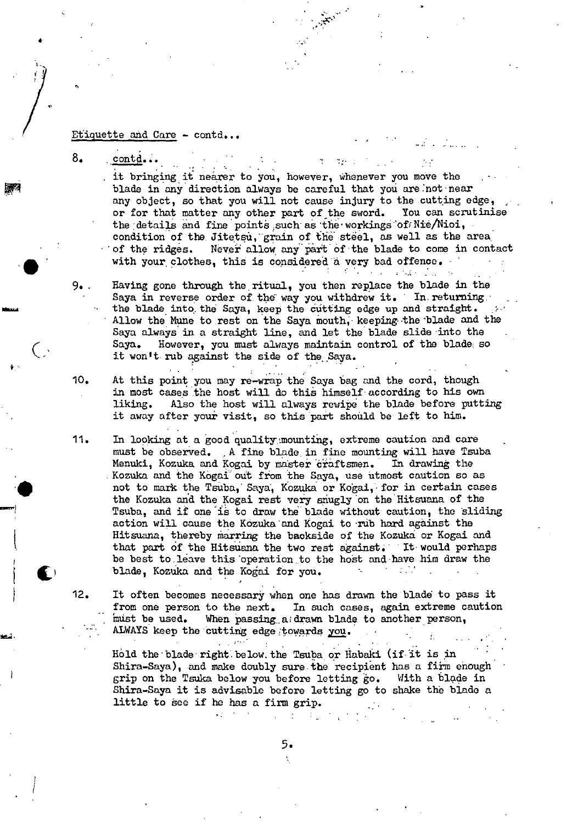8. contd...

. it bringing it nearer to you, however, whenever you move the blade in any direction always be careful that you are :not near any object, so that you will not cause injury to the cutting edge, or for that matter any other part of the sword. You can scrutinise the details and fine points such as the workings of Nie/Nioi, condition of the Jitetsu, grain of the steel, as well as the area of the ridges. Never allow any part of the blade to come in contact with your clothes, this is considered a very bad offence.

 $\Upsilon$  =  $\Upsilon$  and  $\Upsilon$ 

9. Raving gone through the ritual, you then replace the blade in the Saya in reverse order of the way you withdrew it. In returning. the blade into the Saya, keep the cutting edge up and straight. Allow the Mune to rest on the Saya mouth, keeping the blade and the Saya always in a straight line, and let the blade slide into the Saya. However, you must always maintain control of the blade so it won't rub against the side of the Saya.

10. At this point you may re-wrap the Saya bag and the cord, though in most cases the host will do this himself according to his own liking. Also the host will always rewipe the blade before putting it away after your visit, so this part should be left to him.

11 • In looking at a good quality.mounting, extreme caution and care must be observed. , A fine blade in fine mounting will have Tsuba Menuki, Kozuka and Kogai by master craftsmen. In drawing the Kozuka and the Kogai out from the Saya, use utmost caution so as not to mark the Tsuba, Saya, Kozuka or Kogai, for in certain cases the Kozuka and the Kogai rest very snugly on the Hitsuana of the Tsuba, and if one is to draw the blade without caution, the sliding action will cause the Kózuka 'and Kogai to 'nib hard against the Hitsuana, thereby marring the backside of the Kozuka or Kogai and that part of the Hitsuana the two rest against. It would perhaps be best to.leave this 'operation to the host and have him draw the blade, Kozuka and the Kogai for you. a sa Ta

12. It often becomes necessary when one has drawn the blade to pass it from one person to the next. In such cases, again extreme caution must be used. When passing a drawn blade to another person, When passing  $a$ ; drawn blade to another person, ALWAYS keep the cutting edge towards you.  $\mathcal{L}_{\mathbf{a}}$  .

Hold the blade right below. the Tsuba or Habaki (if it is in Shira-Saya), and make doubly sure the recipient has a firm enough grip on the Tsuka below you before letting go. With a blade in Shira-Saya it is advisable before letting go to shake the blade a little to see if he has a firm grip.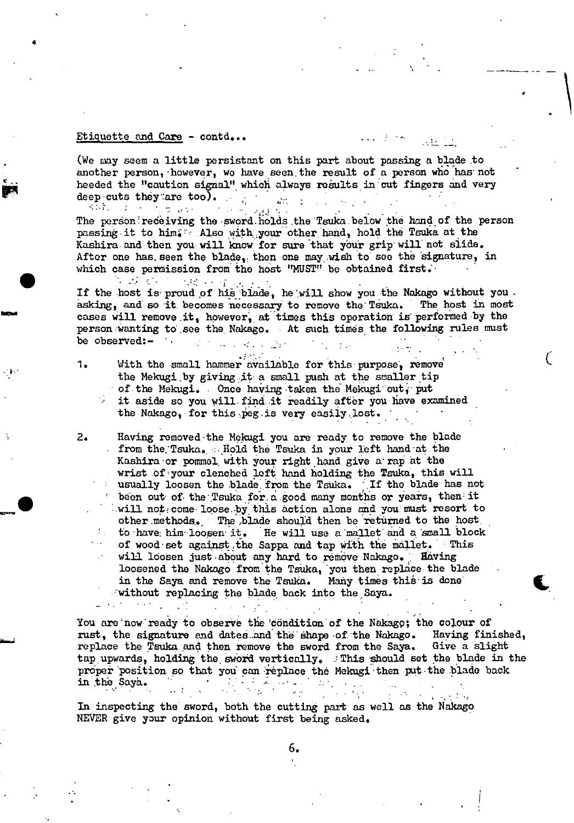ਨਿਸ਼ੀ ਦਾ ਪੜ੍ਹਾ ਦਾ ਸਾਹਿਬ 1979 ਦ

4

(We may seem a little persistant on this part about poasing a blade to another person, 'however, we have seen, the result of a person who has' not heeded the "caution signal" which always results in cut fingers and very deep cuts they are too). ilir.

- 53 The person receiving the sword holds the Tsuka below the hand of the person passing it to him. Also with your other hand, hold the Tsuka at the Kashira and then you will know for sure that your grip will not slide. After one has. seen the blade, then one may wish to see the signature, in which case permission from the host "MUST" be obtained first.

 $\mathcal{L} = \mathcal{L} \mathcal{L} \times \mathcal{L}$  . 1.据 不可靠的 If the host is proud of his blade, he will show you the Nakago without you. asking, and so it becomes necessary to remove the Tsuka. The host in most cases will remove it, however, at times this operation is performed by the person wanting to see the Nakago. At such times the following rules must be observed:  $\blacksquare$ be observed: $\blacksquare$ 

 $\zeta$ 

 $\epsilon$ 

1. With the small hammer available for this purpose, remove the Mekugi by giving it a small push at the smaller tip of the Mekugi. Once having taken the Mekugi out, put it aside so you will find it readily after you have examined the Nakago, for this peg.is very easily lost.

2. Having removed 'the Melaigi you are ready to remove the blade from the:Tsuka. :. Hold the Tsuka in your left hand at the Kashira 'or pommel, with your right hand give a' rap at the wrist of your clenched left hand holding the Tsuka, this will usually loosen the blade, from the TsUka. 'If the blade has not been out of the Tsuka for, a good many months or years, then it will not come loose by this action alone and you must resort to other .methods. The ,blade should then be returned to the host to have him loosen it. He will use a mallet and a small block of wood set against the Sappa and tap with the mallet. This will loosen just about any hard to remove Nakago. Having loosened the Nakago from the Tsuka, you then replace the blade in the Saya and remove the Tauka. Many times thià' is done • 'without replacing the blade back into the Saya.

You are now ready to observe the 'condition' of the Nakago; the colour of rust, the signature and dates and the shape of the Nakago. Having finished, rust, the signature and dates and the shape of the Nakago. Having finish replace the Tsuka and then remove the sword from the Saya. Give a slight replace the Tsuka and then remove the sword from the Saya. tap upwards, holding the sword vertically. . This should set the blade in the proper position so that you can replace the Mekugi then put the blade back in the Sava. in the Saya.  $\cdots$  .  $\cdots$   $\cdots$   $\cdots$   $\cdots$   $\cdots$ a sa K

In inspecting the sword, both the cutting part as well as the Nakago NEVER give your opinion without first being asked.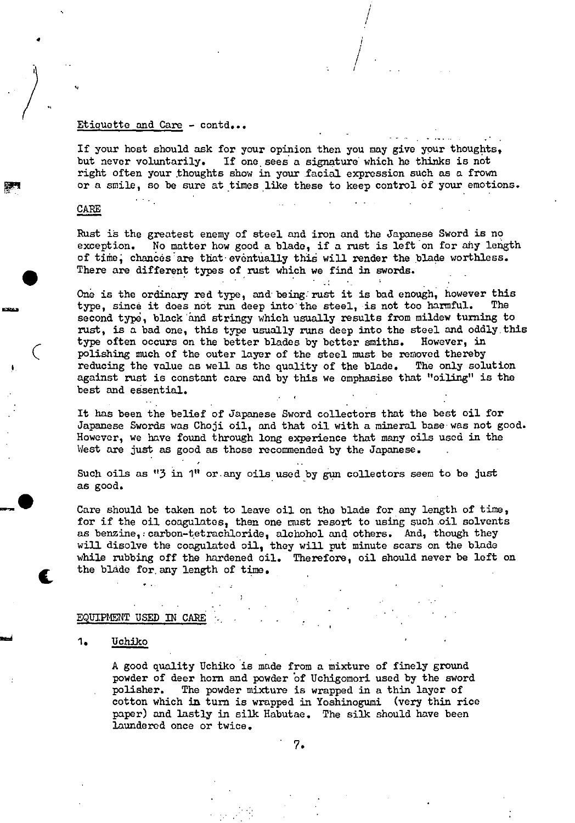If your host should ask for your opinion then you may give your thoughts, but never voluntarily. If one sees a signature which he thinks is not right often your thoughts show in your facial expression such as a frown or a smile, so be sure at times like these to keep control of your emotions.

I

 $\Bigg/$ 

#### CARE

4

 $\bullet$ 

 $\zeta$ 

**-ft** 

Rust is the greatest enemy of steel and iron and the Japanese Sword is no exception. No matter how good a blade, if a rust is left on for any length of time, chances are that eventually this will render the blade worthless. There are different types of rust which we find in swords.

 $\mathcal{A}^{\mathcal{A}}$ 

One is the ordinary red type, and being rust it is bad enough, however this type, since it does not run deep into the steel, is not too harmful. second type, black and stringy which usually results from mildew turning to rust, is a bad one, this type usually runs deep into the steel and oddly, this type often occurs on the better blades by better smiths. However, in polishing much of the outer layer of the steel must be removed thereby reducing the value as well as the quality of the blade. The only solution against rust is constant care and by this we emphasise that "oiling" is the best and essential.

It has been the belief of Japanese Sword collectors that the best oil for Japanese Swords was Choji oil, and that oil with a mineral base was not good. However, we have found through long experience that many oils used in the West are just as good as those recommended by the Japanese.

Such oils as "3 in 1" or any oils used by gun collectors seem to be just as good.

Care should be taken not to leave oil on the blade for any length of time, for if the oil coagulates, then one must resort to using such oil solvents as benzine, carbon-tetrachloride, alchohol and others. And, though they will disolve the coagulated oil, they will put minute scars on the blade while rubbing off the hardened oil. Therefore, oil should never be left on the blade for, any length of time.

### EQUIPMENT USED IN CARE

#### *1. TJchiko*

A good quality Uchiko is made from a mixture of finely ground powder of deer horn and powder of Uchigomori used by the sword polisher. The powder mixture is wrapped in a thin layer of cotton which in turn is wrapped in Yoshinogumi (very thin rice paper) and lastly in *silk* Habutae. The *silk* should have been laundered once or twice.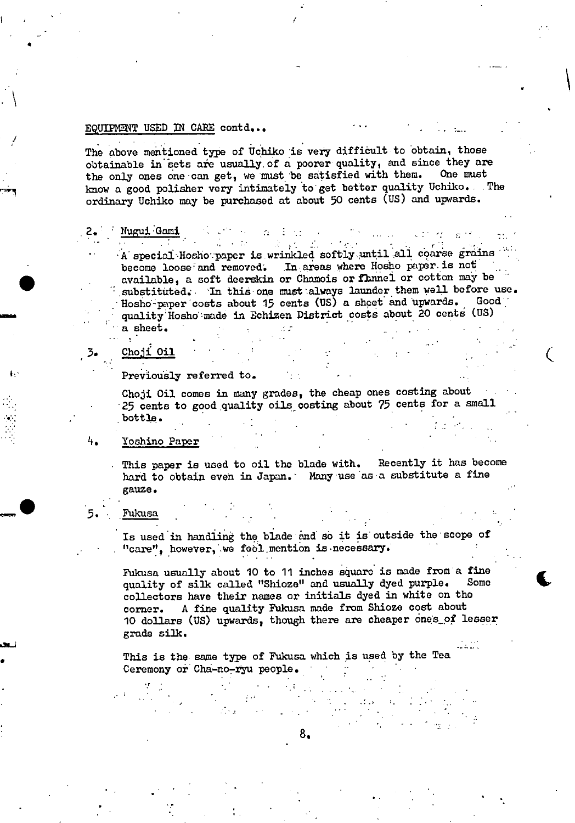#### EQUIPMENT USED IN CARE contd...

The above mentioned type of Uchiko is very difficult to obtain, those obtainable in sets are usually of a poorer quality, and since they are the only ones one can get, we must be satisfied with them. One must know a good polisher very intimately to get better quality Uchiko. The ordinary Uchiko may be purchased at about 50 cents (US) and upwards.

 $\alpha=1$ 

 $\sim 10^{11}$  km s  $^{-1}$ 

Nugui Gami

 $\sim 10$ 

 $\sim 2\,g_{\rm{BH}}$  $\mathcal{R} = \{1,2,3\}$ A special Hosho paper is wrinkled softly until all coarse grains become loose and removed. In areas where Hosho paper is not available, a soft deerskin or Chamois or flamel or cotton may be substituted. In this one must always launder them well before use. Hosho-paper costs about 15 cents (US) a sheet and upwards. Good quality Hosho made in Echizen District costs about 20 cents (US) a sheet.

Choji Oil

3.

Previously referred to.

Choji Oil comes in many grades, the cheap ones costing about 25 cents to good quality oils costing about 75 cents for a small bottle.

#### 4. Yoshino Paper

This paper is used to oil the blade with. Recently it has become hard to obtain even in Japan. Many use as a substitute a fine gauze.

#### Fukusa

Is used in handling the blade and so it is outside the scope of "care", however, we feel mention is necessary.

Fukusa usually about 10 to 11 inches square is made from a fine quality of silk called "Shioze" and usually dyed purple. Some collectors have their names or initials dyed in white on the A fine quality Fukusa made from Shioze cost about corner. 10 dollars (US) upwards, though there are cheaper ones of lesser grade silk.

This is the same type of Fukusa which is used by the Tea Ceremony or Cha-no-ryu people.

8.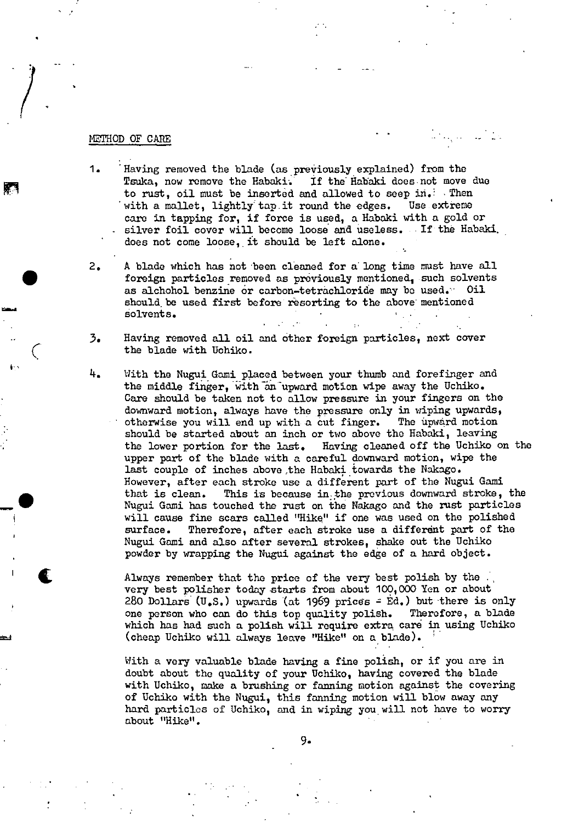#### METHOD OF CAPE

 $\overline{C}$ 

=4

- 1 Having removed the blade (as previously explained) from the Tsuka, now remove the Habaki. If the Habaki does not move due to rust, oil must be inserted and allowed to seep in. Then with a mallet, lightly tap it round the edges. Use extreme care in tapping for, if force is used, a Habaki with a gold or silver foil cover will become loose and useless. If the Habaki. does not come loose, it should be left alone.
- 2. A blade which has not been cleaned for a long time must have all foreign particles removed as previously mentioned, such solvents as alchohol benzine or carbon-tetràchloride may be used. Oil should be used first before resorting to the above mentioned áolvents.
- 3. Having removed all oil and other foreign particles, next cover the blade with Uchiko.
- 4. With the Nugui Gami placed between your thumb and forefinger and the middle finger, with an upward motion wipe away the Uchiko. Care should be taken not to allow pressure in your fingers on the downward motion, always have the pressure only in wiping upwards, otherwise you will end up with a cut finger. The upward motion should be started about an inch or two above the Habaki, leaving the lower portion for the last. Having cleaned off the Uchiko on the upper part of the blade with a careful downward motion, wipe the last couple of inches above the Habaki towards the Nakago. However, after each stroke use a different part of the Nugui Gami that is clean. This is because in the previous downward stroke, the Nugui Gami has touched the rust on the Nakago and the rust particles will cause fine scars called "Hike" if one was used on the polished surface. Therefore, after each stroke use a different part of the Nugui Gami and also after several strokes, shake out the Uchiko powder by wrapping the Nugui against the edge of a hard object.

Always remember that the price of the very best polish by the  $\ddot{\phantom{a}}$ , very best polisher today starts from about 100,000 Yen or about 280 Dollars (U.S.) upwards (at 1969 prices  $=$  Ed.) but there is only one person who can do this top quality polish. Therefore, a blade which has had such a polish will require extra care in using Uchiko (cheap Uchiko will always leave "Hike" on a blade).

With a very valuable blade having a fine polish, or if you are in doubt about the quality of your Uchiko, having covered the blade with Uchiko, make a brushing or fanning motion against the covering of Uchiko with the Nugui, this fanning motion will blow away any hard particles of Uchiko, and in wiping you will not have to worry about "Hike".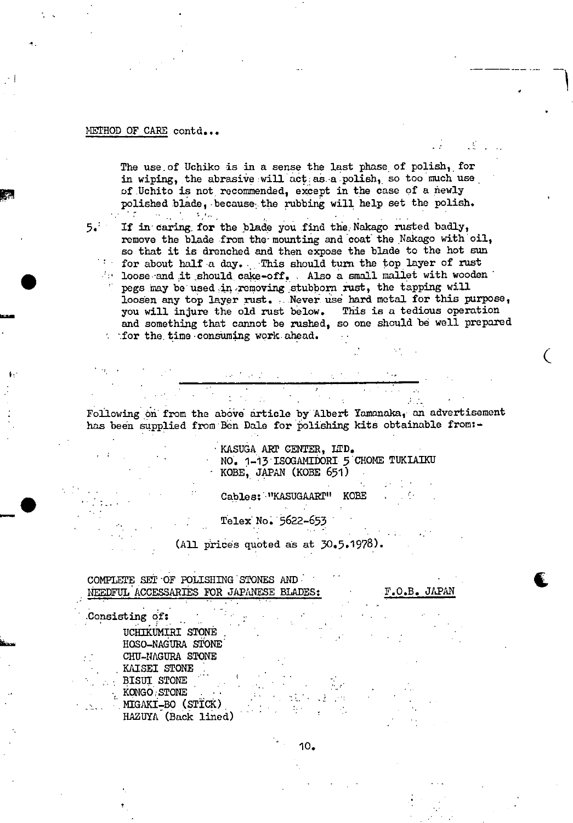#### METHOD OF CARE contd...

The use of Uchiko is in a sense the last phase of polish, for in wiping, the abrasive will act as a polish, so too much use of Uchito is not recommended, except in the case of a newly polished blade, because the rubbing will help set the polish. **这样的一些,你们有什么。** 

 $5.72$ 

If in caring for the blade you find the Nakago rusted badly, remove the blade from the mounting and coat the Nakago with oil, so that it is drenched and then expose the blade to the hot sun for about half a day. This should turn the top layer of rust declined it should cake-off. Also a small mallet with wooden pegs may be used in removing stubborn rust, the tapping will loosen any top layer rust. Never use hard metal for this purpose, you will injure the old rust below. This is a tedious operation and something that cannot be rushed, so one should be well prepared for the time consuming work ahead.

Following on from the above article by Albert Yamanaka, an advertisement has been supplied from Ben Dale for polishing kits obtainable from:-

KASUGA ART CENTER, LTD. NO. 1-13 ISOGAMIDORI 5 CHOME TUKIAIKU KOBE, JAPAN (KOBE 651)

 $\mathcal{L}_{\text{max}}$ 

Cables: "KASUGAART" KOBE

Telex No. 5622-653

 $(A11$  prices quoted as at  $30.5.1978$ ).

COMPLETE SET OF POLISHING STONES AND NEEDFUL ACCESSARIES FOR JAPANESE BLADES: F.O.B. JAPAN

Consisting of: UCHIKUMIRI STONE HOSO-NAGURA STONE CHU-NAGURA STONE KAISEI STONE BISUI STONE KONGO STONE  $\sim$  MIGAKI-BO (STICK) HAZUYA (Back lined)

10.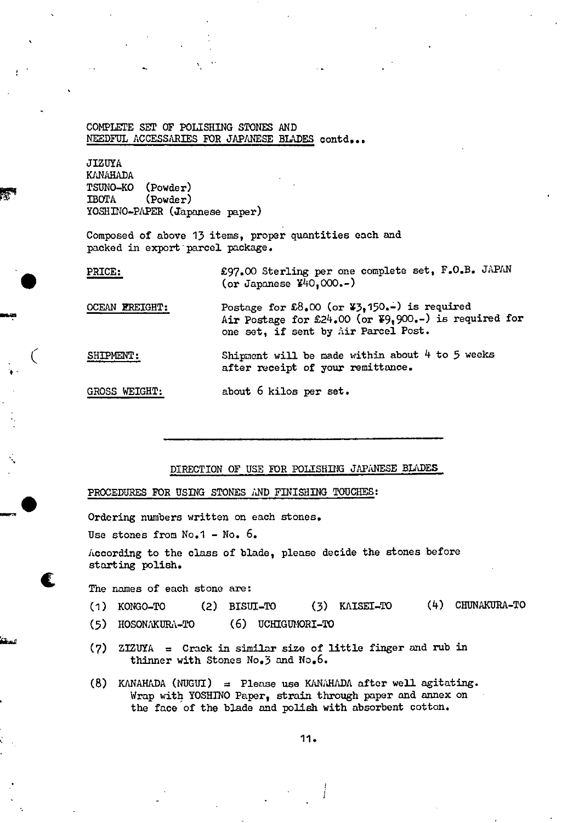#### COMPLETE SET OF POLISHING STONES AND NEEDFUL ACCESSARIES FOR JAPANESE BLADES contd...

JIZUYA KANAHADA TEUNO-KO (Powder) **IBOTA** (Powder) YOSHINO-PAPER (Japanese paper)

 $\mathcal{L}_{\mathcal{L}}$ 

t

 $\bullet$ 

t

Composed of above 13 items, proper quantities each and packed in export parcel package.

PRICE: £97.00 Sterling per one complete set, F.O.B. JAPAN (or Japanese  $440,000--$ )

OCEAN EREIGHT: Postage for  $\pounds8.00$  (or  $\pmb{\Psi}3.150.-$ ) is required Air Postage for  $24.00$  (or  $79.900-$ ) is required for one set, if sent by Air Parcel Post.

SHIPMENT: Shipment will be made within about  $4$  to 5 weeks after receipt of your remittance.

GROSS WEIGHT: about 6 kilos per set.

#### DIRECTION OF USE FOR POLISHING JAPANESE BLADES

PROCEDURES FOR USING STONES AND FINISHING TOUCHES:

Ordering numbers written on each stones.

Use stones from No.1 - No. 6.

According to the class of blade, please decide the stones before starting polish.

The names of each stone are:

- (i) KONGO-TO (2) BISUI-TO (3) KAISEI-TO (k) CHUNAKURA-TO
- (5) HOSONAKURA-TO (6) UCHIGUMORI-TO
- (7) ZIZUYA = Crack in similar size of little finger and rub in thinner with Stones No.3 and No.6.
- (8) KANAHADA (NUGUI) = Please use KANAHADA after well agitating. Wrap with YOSHINO Paper, strain through paper and annex on the face of the blade and polish with absorbent cotton.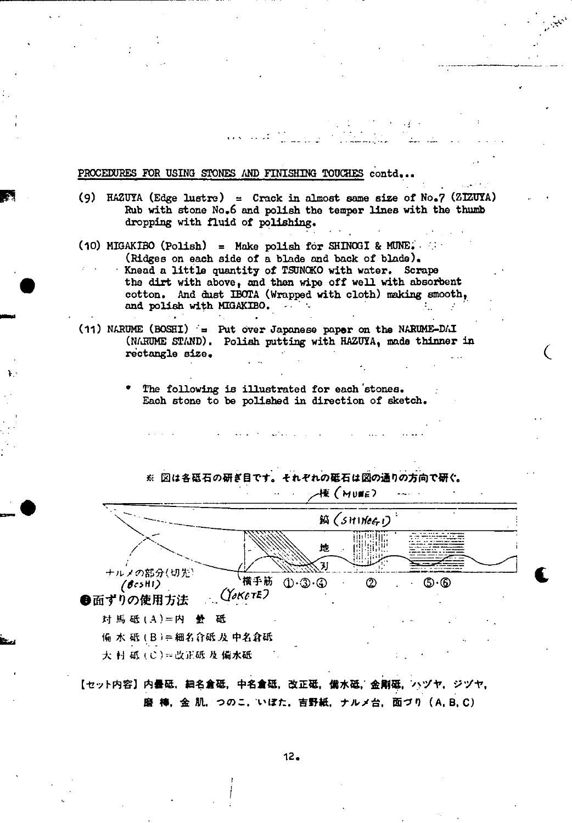PROCEDURES FOR USING STONES AND FINISHING TOUCHES contd...

(9) HAZUYA (Edge lustre) = Crack in almost same size of No.7 (ZIZUYA) Rub with stone No.6 and polish the temper lines with the thumb dropping with fluid of polishing.

St

 $\zeta$ 

- (10) MIGAKIBO (Polish) = Make polish for SHINOGI & MUNE. (Ridges on each side of a blade and back of blade). Knead a little quantity of TSUNOKO with water. Scrape the dirt with above, and then wipe off well with absorbent cotton. And dust IBOTA (Wrapped with cloth) making smooth, and polish with MIGAKIBO.  $-$
- *(ii)* NARUME (BOSBI) = Put over Japanese paper on the NABUME-DAI (NARUME STAND). Polish putting with HAZUYA, made thinner in rectangle size.
	- The following is illustrated for each stones. Each stone to be polished in direction of sketch.



 $\frac{1}{2}$ 

**ns-.** 

1.-

- 大 村 砥 (C)==改正砥 及 備水砥<br>【セット内容】内曇砥,細名倉砥,中名倉砥,改正砥,備水砥,金剛砥,ハヅヤ,ジヅヤ, 磨 棒, 金 肌, つのこ, いぼた, 吉野紙, ナルメ台, 面づり (A, B, C)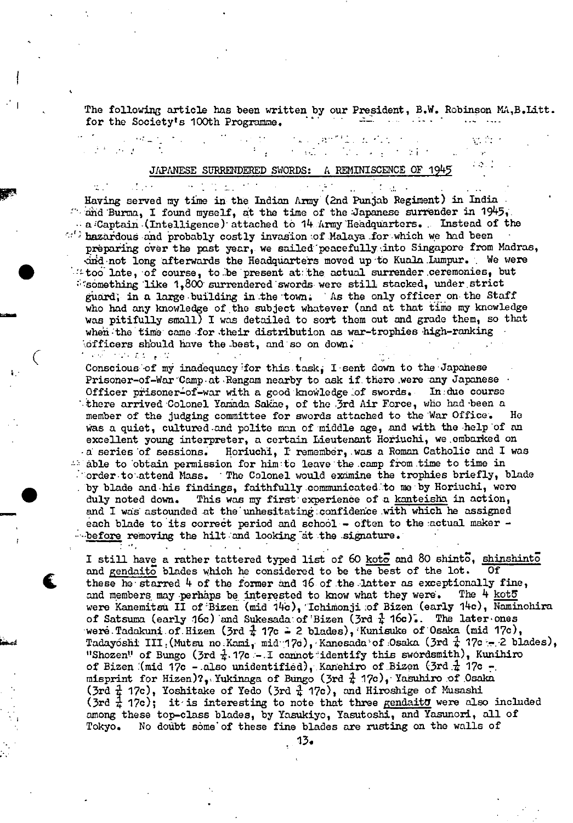The following article has been written by our President, B.W. Robinson MA,B.Litt.<br>for the Society's 100th Programme.

 $\sqrt{1+\epsilon}$ 

#### JAPANESE SURRENDERED SWORDS: A REMINISCENCE OF 1

r Having served my time in the Indian Aniy(2nd Punjab Regiment) in India  $\sim$  and Burma, I found myself, at the time of the Japanese surrender in 1945,  $-$  a-Captain-(Intelligence) attached to 14  $A$ rmy Headquarters. Instead of the  $\mathbb{R}^C$  hazardous and probably costly invasion of Malaya for which we had been preparing over the past year, we sailed peacefully into Singapore from Madras, drid not long afterwards the Headquarters moved up to Kuala Lumpur. We were  $\cdot$  too late, of course, to be present at the actual surrender ceremonies, but  $\delta$  something like 1,800 surrendered swords were still stacked, under strict guard; in a large building in the town. As the only officer on the Staff who had any knowledge of the subject whatever (and at that time my knowledge Was pitifully small) I was detailed to sort them out and grade them, so that when the time came for their distribution as war-trophies high-ranking iofficers should have the best, and so on down. in el marcado porti

Conscious of my inadequacy for this task,  $I$  sent down to the Japanese Prisoner-of-War 'Camp at Rengam nearby to ask if there were any Japanese Officer prisoner-of-war with a good knowledge of swords. In: due course there arrived Colonel Yamada Sakae, of the 3rd Air Force, who had been a member of the judging committee for swords attached to the War Office. He was a quiet, cultured-and polite man of middle age, and with the help 'of an excellent young interpreter, a certain Lieutenant Horiuchi, we embarked on • a series 'of sessions. Horiuchi, I remember, was a Roman Catholic and I was  $\mathbb{A}$  able to obtain permission for him to leave the camp from time to time in  $\therefore$  order to attend Mass. The Colonel would examine the trophies briefly, blade by blade and his findings, faithfully communicated to me by Horiuchi, were duly noted down. This was my first experience of a kanteisha in action, and I was astounded at the unhesitating confidence with which he assigned each blade to its correct period and school  $-$  often to the actual maker  $$ before removing the hilt and looking at the signature.

 $\bullet$ 

I still have a rather tattered typed list of 60 koto and 80 shinto, shinshinto and gendaito blades which he considered to be the best of the lot. Of these he starred  $4$  of the former and  $16$  of the latter as exceptionally fine, and members may perhaps be interested to know what they were. The  $4 \text{ kot } 5$ were Kanemitsu II of Bizen (mid 14c), Ichimonji :of Bizen (early 14c), Naminohira of Satsuma (early 16c) and Sukesada of Bizen (3rd  $\frac{1}{4}$  16c). The later ones were Tadakuni of Hizen (3rd  $\frac{1}{4}$  17c  $\tilde{=}$  2 blades), Kunisuke of Osaka (mid 17c), Tadayóshi III : (Mutsu no.Kami, mid 17c), Kanesada of Osaka (3rd  $\frac{1}{4}$  17c :- 2 blades), "Shozen" of Bungo (3rd  $\frac{1}{4}$ . 17c - I cannot identify this swordsmith), Kunihiro of Bizen (mid 17c - also unidentified), Kanehiro of Bizen (3rd  $\frac{1}{4}$  17c misprint for Hizen)?, Yukinaga of Bungo (3rd  $\frac{1}{4}$  17c), Yasuhiro of Osaka  $(3rd + 17c)$ , Yoshitake of Yedo (3rd  $\frac{1}{4}$  17c), and Hiroshige of Musashi  $(3rd \frac{1}{4} 17c)$ ; it is interesting to note that three gendaity were also included among these top-class blades, by Yasukiyo, Yagutoshi, and Yasunori, all of Tokyo. No doubt some of these fine blades are rusting on the walls of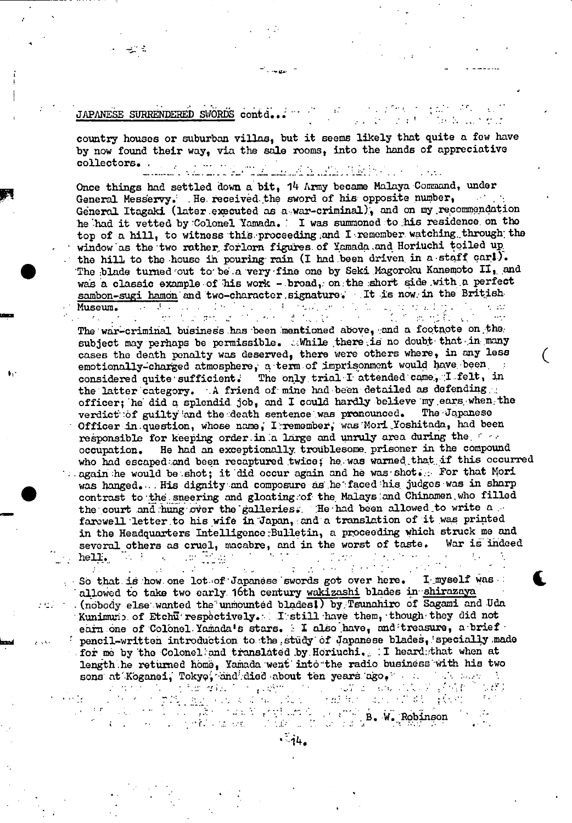#### $\mathcal{C}_{\mathcal{F}^{\text{c}}(\mathbf{I})}$  ,  $\mathcal{C}_{\mathcal{F}^{\text{c}}(\mathbf{I})}$  $\epsilon \leq \epsilon \leq 7$  . JAPANESE SURRENDERED SWÖRDS contd...  $\sim 10^7$ 计字形式

- -s

ಕ್ಷ್ ಕ

 $\epsilon_{\rm esc}$ 

country houses or suburban villas, but it seems likely that quite a few have by now found their way, via the sale rooms, into the hands of appreciative collectors. . ..

the annual Microsoft and Coler

Once things had settled down a bit,  $14$  Army became Malaya Command, under General Messervy. He received the sword of his opposite number. General Mesdervy. . He received. the sword of his opposite number, General Itagaki (later executed as a war-criminal), and on my recommendation he had it vetted by Colonel Yamadn. I was summoned -to his residence, on the top of a hill, to witness this proceeding and I remember watching through the window as the two rather forlorn figures of Yamada and Horiuchi toiled up the hill to the house in pouring rain (I had been driven in a staff cart). The blade turned out to be a very fine one by Seki Magoroku Kanemoto II, and was a classic example of his work - broad, on the short side with a perfect sambon-sugi hamon and two-character signature. It is now in the British-<br>Museum. Museum.

.<br>Single

ifr e.

The war-criminal business has been mentioned above, and a footnote on, the subject may perhaps be permissible. While there is no doubt that in many cases the death penalty was deserved, there were others where, in any less emotionally-charged atmosphere, a term of imprisonment would have been, considered quite sufficient. The only trial I attended came, I felt, in the latter category. A friend of mine had been detailed as defending :: officer; he did a splendid job, and I could hardly believe my ears, when, the verdict of guilty and the death sentence was pronounced. The Japanese Officer in question, whose name, I remember, was Mori Yoshitada, had been responsible for keeping order in a large and unruly area during the form occupation. He had an exceptionally troublesome prisoner in the compound who had escaped:and been recaptured twice; he was warned that if this occurred  $\ldots$  again he would be shot; it did occur again and he was shot. For that Mori was hanged... His dignity and composure as he faced his judges was in sharp contrast to the sneering and gloating of the Malays and Chinamen, who filled the court and hung over the galleries. He had been allowed to write a farewell 'letter to his wife in."Japan, and a translation of it was printed in the Headquarters Intelligence Bulletin, a proceeding which struck me and several others as cruel, macabre, and in the worst of taste. War is indeed hell. t  $\mathcal{L}^{\mathcal{L}}(\mathcal{L}^{\mathcal{L}}(\mathcal{L}^{\mathcal{L}}))$ hell. The contract of the contract of the contract of the contract of the contract of the contract of the contract of the contract of the contract of the contract of the contract of the contract of the contract of the cont

 $\zeta$ 

So that is how one lot of Japanese swords got over here. I myself was: allowed to take two early 16th century wakizashi blades in shirazaya . (nobody else wanted the unmounted blades) by Tsunahiro of Sagami and Uda Kunimun: of Etchu respectively. I still have them, though they did not earn one of Colonel. Yamada's stars. : I also have, and treasure, a brief ' pencil-written introduction to the study of Japanese blades, specially made -for me by the Coloneliand translated by Horiuchi. , I heard:;that when at length he returned home, Yamada went into the radio business with his two sons at Koganei, Tokyo, and died about ten years ago,

 $\mathcal{D}^{\mathcal{A}}$ 

 $\mathcal{I} \rightarrow \mathcal{I}$ 

 $.44.$ 

- B. W. Robinson I *I*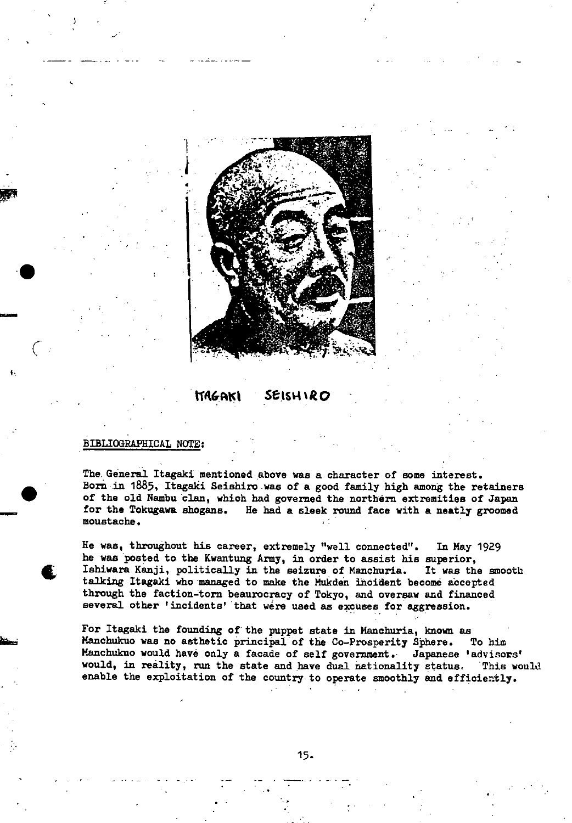

### **tT4&c,tct** *Sts-%RQ*

#### BIBLIOGRAPHICAL NOTE:

-

**t** 

)

**-y** 

The. General Itagaki mentioned above was a character of some interest. Born in 1885, Itagaki Seishiro was of a good family high among the retainers of the old Nambu clan, which had governed the northern extremities of Japan for the Tokugawa shogans. He had a sleek round face with a neatly groomed moustache.

He was, throughout his career, extremely "well connected". In May 1929 he was posted to the Kwantung Army, in order to assist his superior, Ishiwara Kanji, politically in the seizure of Manchuria. It was the smooth talking Itagaki who managed to make the Mukden incident become accepted through the faction-torn beaurocracy of Tokyo, and oversaw and financed several other 'incidents' that were used as excuses for aggression.

For Itagaki the founding of the puppet state in Manchuria, known as Manchukuo was no asthetic principal of the Co-Prosperity Sphere. To him Manchukuo would have only a facade of self government. Japanese 'advisors' would, in reality, run the state and have dual nationality status. This would enable the exploitation of the country to operate smoothly and efficiently.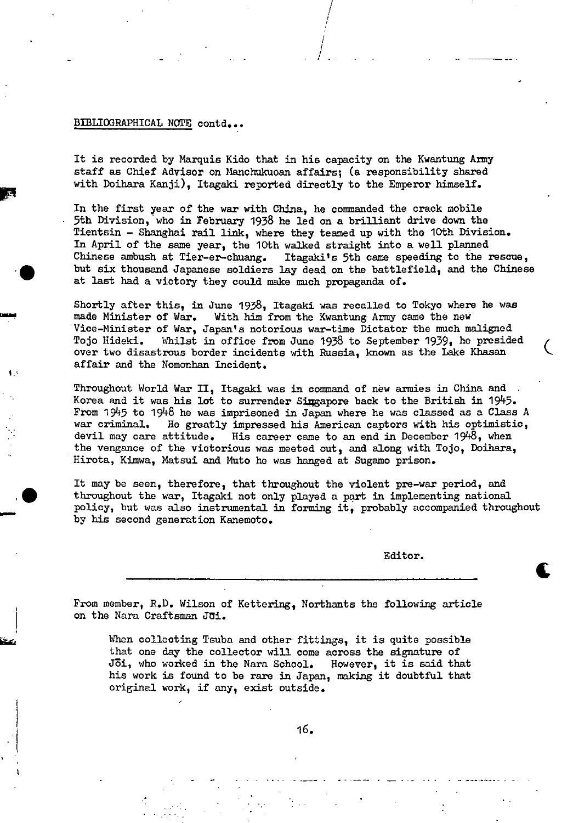#### BIBLIOGRAPHICAL NOTE contd...

 $\mathbf{I}$ 

It is recorded by Marquis Kido that in his capacity on the Kwantung Army staff as Chief Advisor on Manchukuoan affairs; (a responsibility shared with Doihara Kanji), Itagaki reported directly to the Emperor himself.

In the first year of the war with China, he commanded the crack mobile 5th Division, who in February 1938 he led on a brilliant drive down the Tientsin - Shanghai rail link, where they teamed up with the 10th Division. In April of the same year, the 10th walked straight into a well planned Chinese ambush at Tier-er-chuang. Itagaki's 5th came speeding to the Itagaki's 5th came speeding to the rescue, but six thousand Japanese soldiers lay dead on the battlefield, and the Chinese at last had a victory they could make much propaganda of.

1

Shortly after this, in June 1938, Itagaki was recalled to Tokyo where he was made Minister of War. With him from the Kwantung Army came the new Vice-Minister of War, Japan's notorious war-time Dictator the much maligned Tojo Hideki. Whilst in office from June 1938 to September 1939, he presided over two disastrous border incidents with Russia, known as the Lake Khasan affair and the Nomonhan Incident.

Throughout World War II, Itagaki was in command of new armies in China and Korea and it was his lot to surrender Singapore back to the British in  $1945$ . From 1945 to 1948 he was imprisoned in Japan where he was classed as a Class A war criminal. He greatly impressed his American captors with his optimistic, devil may care attitude. His career came to an end in December 1948, when the vengance of the victorious was meeted out, and along with Tojo, Doihara, Hirota, Kimwa, Matsui and Muto he was hanged at Sugamo prison.

It may be seen, therefore, that throughout the violent pre-war period, and throughout the war, Itagaki not only played a part in implementing national policy, but was also instrumental in forming it, probably accompanied throughout by his second generation Kanemoto.

Editor.

t

From member, R.D. Wilson of Kettering, Northants the following article on the Nara Craftsman Joi.

When collecting Tsuba and other fittings, it is quite possible that one day the collector will come across the signature of Jōi, who worked in the Nara School. However, it is said that his work is found to be rare in Japan, making it doubtful that original work, if any, exist outside.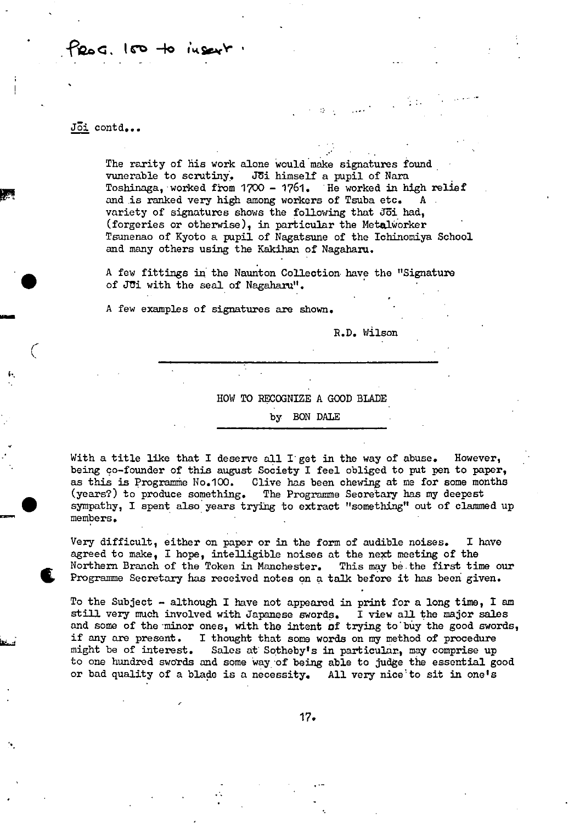## (M -Ic **itr'**

#### Joi contd...

The rarity of his work alone would make signatures found vunerable to scrutiny. Joi himself a pupil of Nara Toshinaga, worked from  $1700 - 1761$ . He worked in high relief and is ranked very high among workers of Tsuba etc. variety of signatures shows the following that 361 had, (forgeries or otherwise), in particular the Metalworker Tsunenao of Kyoto a pupil of Nagatsune of the Ichinomiya School and many others using the Kakihan of Nagaharu.

. A few fittings in the Naunton Collection- have the "Signature of Jui with the seal of Nagaharu".

A few examples of signatures are shown.

R.D. Wilson

#### HOW TO RECOGNIZE A GOOD BLADE

#### by BON DALE

With a title like that I deserve all I get in the way of abuse. However, being co-founder of this august Society I feel obliged to put pen to paper, as this is Programme No.100. Clive has been chewing at me for some months (years?) to produce something. The Programme Seoretary has my deepest sympathy, I spent also years trying to extract "something't out of clammed up members.

Very difficult, either on paper or in the form of audible noises. I have agreed to make, I hope, intelligible noises at the next meeting of the Northern Branch of the Token in Manchester. This may be the first time our Northern Branch of the Token in Manchester. This may be the first time our Programme Secretary has received notes on a talk before it has been give

To the Subject  $-$  although I have not appeared in print for a long time, I am still very much involved with Japanese swords. I view all the major sales and some of the minor ones, with the intent of trying to buy the good swords, if any are present. I thought that some words on my method of procedure might be of interest. Sales at Sotheby's in particular., may comprise up to one hundred swords and some way of being able to judge the essential good or bad quality of a blade is a necessity. All very nice to sit in one's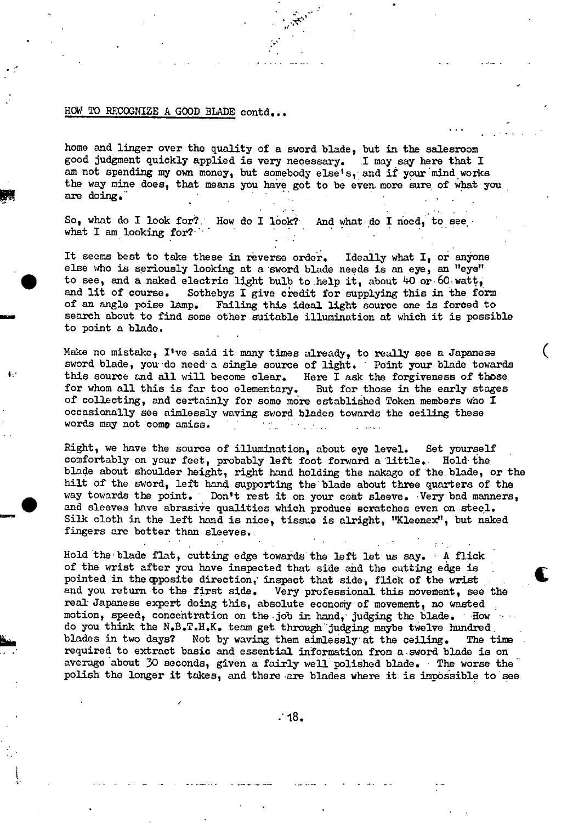#### HOW TO RECOGNIZE A GOOD BLADE contd...

-I

home and linger over the quality of a sword blade, but in the salesroom good judgment quickly applied is very necessary. .1 may say here that I am not spending my own money, but somebody else's, and if your mind works the way mine does, that means you have got to be even- more sure of what you are doing."

7t

So, what do I look for? How do I look? And what do I need, to see what  $I$  am looking for?

It seems best to take these in reverse order. Ideally what I, or anyone else who is seriously looking at a sword blade needs is an eye, an "eye" to see, and a naked electric light bulb to help it, about 40 or 60 watt, and lit of course. Sothebys I give credit for supplying this in the fo Sothebys I give credit for supplying this in the form of an angle poise lamp. Failing this ideal light source one is forced to search about to find some other suitable illumination at which it is possible to point a blade.

Make no mistake, I've said it many times already, to really see a Japanese sword blade, you do need a single source of light. Point your blade towards this source and all will become clear. Here I ask the forgiveness of those for whom all this is far too elementary. But for those in the early stages of collecting, and certainly for some more established Token members who I occasionally see aimlessly waving sword blades towards the ceiling these words may not come amiss.

Right, we have the source of illumination, about eye level. Set yourself comfortably on your feet, probably left foot forward a little. Hold the blade about shoulder height, right hand holding the nakago of the blade, or the hilt of the sword, left hand supporting the blade about three quarters of the way towards the point. Don't rest it on your coat sleeve. Very bad manners, and sleeves have abrasive qualities which produce scratches even on steel. Silk cloth in the left hand is nice, tissue is alright, "Kleenex", but naked fingers are better than sleeves.

Hold the blade flat, cutting edge towards the left let us say. A flick of the wrist after you have inspected that side and the cutting edge is pointed in the opposite direction, inspect that side, flick of the wrist and you return to the first side. Very professional this movement, see the real Japanese expert doing this, absolute economy of movement, no wasted motion, speed, concentration on the job in hand, judging the blade. How do you think the N.B.T.H.K. team get through judging maybe twelve hundred. blades in two days? Not by waving them aimlessly at the ceiling. The time required to extract basic and essential information from a sword blade is on average about 30 seconds, given a fairly well polished blade. The worse the polish the longer it takes, and there are blades where it is impossible to see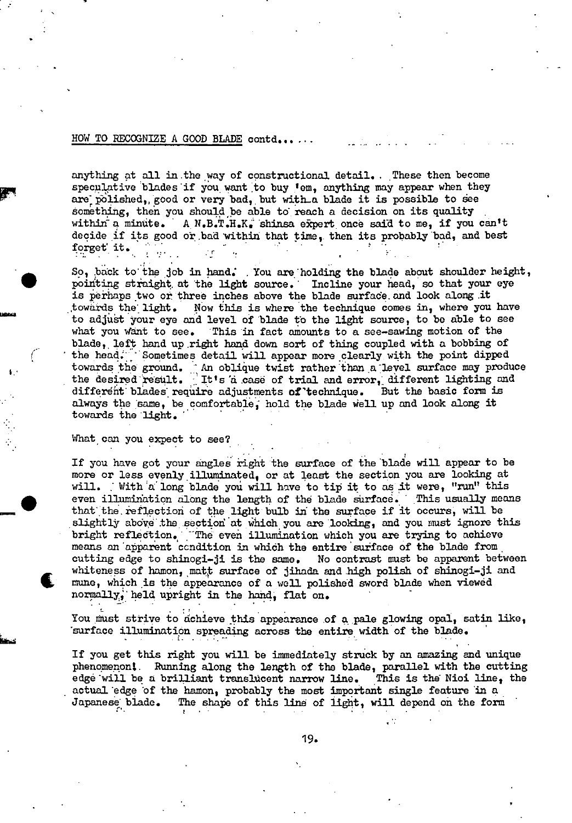#### HOW TO RECOGNIZE A GOOD BLADE contd.....

anything at all in the way of constructional detail. These then become speculative blades if you want to buy 'em, anything may appear when they are polished, good or very bad, but with a blade it is possible to see something, then you should be able to reach a decision on its quality within a minute. A N.B.T.H.K. shinsa expert once said to me, if you can't decide if its good or bad within that time, then its probably bad, and best forget it.

So, back to the job in hand. You are holding the blade about shoulder height, pointing straight at the light source. Incline your head, so that your eye is perhaps two or three inches above the blade surface and look along it towards the light. Now this is where the technique comes in, where you have to adjust your eye and level of blade to the light source, to be able to see This in fact amounts to a see-sawing motion of the what you want to see. blade, left hand up right hand down sort of thing coupled with a bobbing of the head. Sometimes detail will appear more clearly with the point dipped towards the ground. An oblique twist rather than a level surface may produce the desired result. It's a case of trial and error, different lighting and different blades require adjustments of technique. But the basic form is always the same, be comfortable, hold the blade well up and look along it towards the light.

#### What can you expect to see?

If you have got your angles right the surface of the blade will appear to be more or less evenly illuminated, or at least the section you are looking at will. With a long blade you will have to tip it to as it were, "run" this even illumination along the length of the blade surface. This usually means that the reflection of the light bulb in the surface if it occurs, will be slightly above the section at which you are looking, and you must ignore this bright reflection. The even illumination which you are trying to achieve means an apparent condition in which the entire surface of the blade from cutting edge to shinogi-ji is the same. No contrast must be apparent between whiteness of hamon, matt surface of jihada and high polish of shinogi-ji and mune, which is the appearance of a well polished sword blade when viewed normally, held upright in the hand. flat on.

You must strive to achieve this appearance of a pale glowing opal, satin like, 'surface illumination spreading across the entire width of the blade. -1.

If you get this right you will be immediately struck by an amazing and unique phenomenon! Running along the length of the blade, parallel with the cutting edge will be a brilliant translucent narrow line. This is the Nioi line, the actual edge of the hamon, probably the most important single feature in a The shape of this line of light, will depend on the form Japanese blade.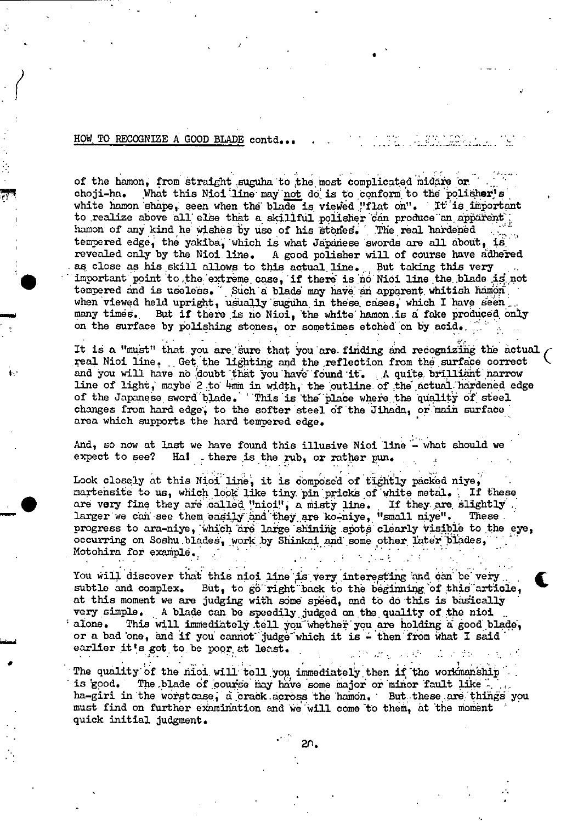#### HOW TO RECOGNIZE A GOOD BLADE contd...

**It** .

 $\overline{\phantom{a}}$ 

of the hcmon, from straight suguha to the most complicated midare or choji-ha. What this Nioi line may not do is to conform to the polisher's white hamon shape, seen when the blade is viewed "flat on". It is important to realize above all else that a skillful polisher can produce an apparent hamon of any kind he wishes by use of his stones. The real hardened hamon of any kind he wishes by use of his stones. The real hardened tempered edge, the yakiba, which is what Japanese swords are all about, is revealed only by the Nioi line. A good polisher will of course have adhered as close as his skill allows to this actual line. But taking this very important point to the extreme case, if there is no Nioi line the blade is not tempered and is useless. Such a blade may have an apparent whitish hamon when viewed held upright, usually suguha in these cases, which I have seen many times. But if there is no Njoi, 'the white hamon is a fake produced, only on the surface by polishing stones, or sometimes etched on by acid.

.

It is a "must" that you are sure that you are finding and recognizing the actual real Nioi line. Get the lighting and the reflection from the surface correct and you will have no 'doubt that **rou** have found it • A quite brilliant narrow line of light, maybe 2 to 4mm in width, the outline of the actual hardened edge of the Japanese sword blade. This is the place where the quality of steel changes from hard edge, to the softer steel of the Jihada, or main surface area which supports the hard tempered edge.

And, so now at last we have found this illusive Nioi line  $\sim$  what should we expect to see? Hal there is the rub. or rather pun. Hal there is the rub, or rather pun.

Look closely at this Nioi line, it is composed of tightly packed niye, martensite to us, which look like tiny pin pricks of white metal. If these are very fine they are called "nioi", a misty line. If they are slightly are very fine they are called "nioi", a misty line. If they are slightly larger we can see them easily and they are ko-niye, "small niye". These progress to ara-niye, winch are large shining spots clearly visible to the eye, occurring on Soshu blades, work by Shinkai and some other later blades, Motohira for example.

You will discover that this nioi line is very interesting and can be very You will discover that this nioi line is very interesting and can be very subtle and complex. But, to go right back to the beginning of this article, subtle and complex. But, to go right back to the beginning of this article, at this moment we are judging with some speed, and to do this is basically very simple. A blade can be speedily judged on the quality of the nioid alone. This will immediately tell you whether you are holding a good bl This will immediately tell you whether you are holding a good blade, or a bad one, and if you cannot judge which it is - then from what I said earlier it's got to be poor at least. . . ..

The quality of the nioi will tell you immediately then if the workmanship is good. The blade of course may have some major or minor fault like. The blade of course may have some major or minor fault like ha-girl in the worstcase, a crack across the hamon. But these are things you must find on further examination and we will come to them, at the moment quick initial judgment.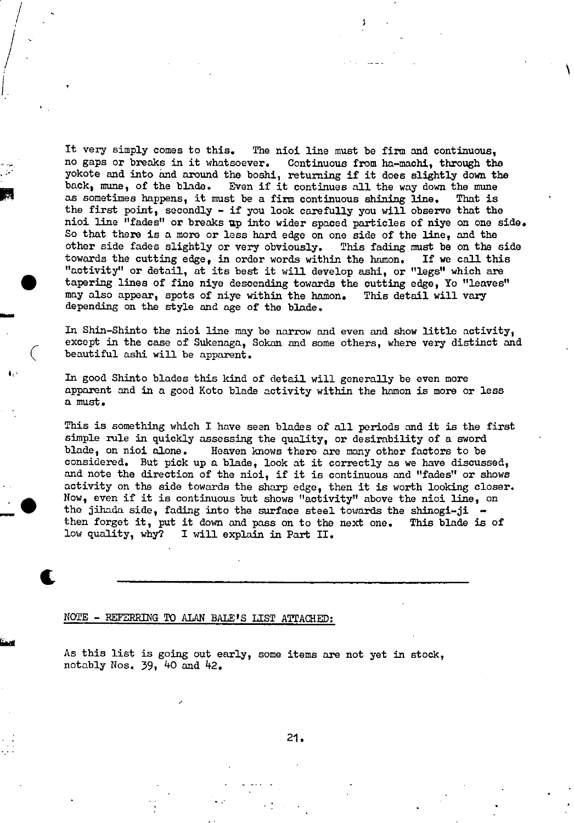It very simply comes to this. The nioi line must be firm and continuous, no gaps or breaks in it whatsoever. Continuous from ha-machi, through the yokote and into and around the boshi, returning if it does slightly down the back, mime, of the blade. Even if it continues all the way down the mime r as sometimes happens, it must be a firm continuous shining line. That is the first noint coordinate in the first point  $\mathbf{r}_i$  and  $\mathbf{r}_i$  are  $\mathbf{r}_i$  and  $\mathbf{r}_i$  are  $\mathbf{r}_i$  are  $\mathbf{r}_i$  are  $\mathbf{r}_i$  and  $\$ the first point, secondly - if you look carefully you will observe that the nioi line "fades" or breaks up into wider spaced particles of niye on one side. So that there is a more or less hard edge on one side of the line, and the other side fades slightly or very obviously. This fading must be on the side towards the cutting edge, in order words within the hamon. If we call this "activity" or detail, at its best it will develop ashi, or "legs" which are tapering lines of fine niye descending towards the cutting edge, Yo "leaves" may also appear, spots of niye within the hamon. This detail will vary depending on the style and age of the blade.

> In Shin-Shinto the nioi line may be narrow and even and show little activity, except in the case of Sukenaga, Sokan and some others, where very distinct and beautiful ashi will be apparent.

In good Shinto blades this kind of detail will generally be even more apparent and in a good Koto blade activity within the hamon is more or less a must.

This is something which I have seen blades of all periods and it is the first simple mle in quickly assessing the quality, or desirability of a sword blade, on nioi alone. Heaven knows there are many other factors to be considered. But pick up a blade, look at it correctly as we have discussed, and note the direction of the nioi, if it is continuous and "fades" or shows activity on the side towards the sharp edge, then it is worth looking closer. Now, even if it is continuous but shows "activity" above the nioi line, on the jihada side, fading into the surface steel towards the shinogi-ji  $-$ <br>then forget it, put it down and pass on to the next one. This blade is of then forget it, put it down and pass on to the next one. low quality, why? I will explain in Part II.

NOTE - REFERRING TO ALAN BALE'S LIST ATTACHED:

 $/$  5  $/$  5  $/$  5  $/$  5  $/$  5  $/$  5  $/$  5  $/$  5  $/$  5  $/$  5  $/$  5  $/$  5  $/$  5  $/$  5  $/$  5  $/$  5  $/$  5  $/$  5  $/$  5  $/$  5  $/$  5  $/$  5  $/$  5  $/$  5  $/$  5  $/$  5  $/$  5  $/$  5  $/$  5  $/$  5  $/$  5  $/$  5  $/$  5  $/$  5  $/$  5  $/$  5  $/$  5

I

t

/

As this list is going out early, some items are not yet in stock, notably Nos.  $39, 40$  and  $42$ .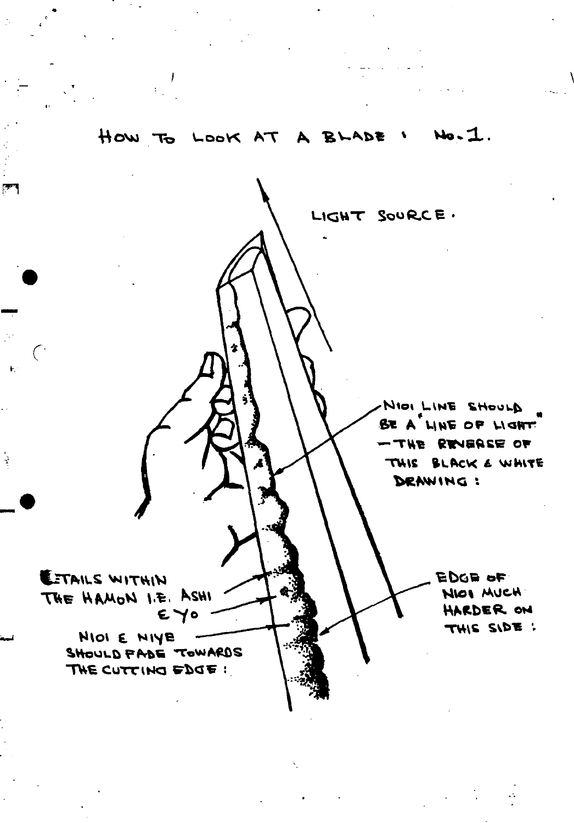

 $\mathbb{R}$ 

 $\overline{\mathbf{t}}$  :

 $\frac{1}{2}$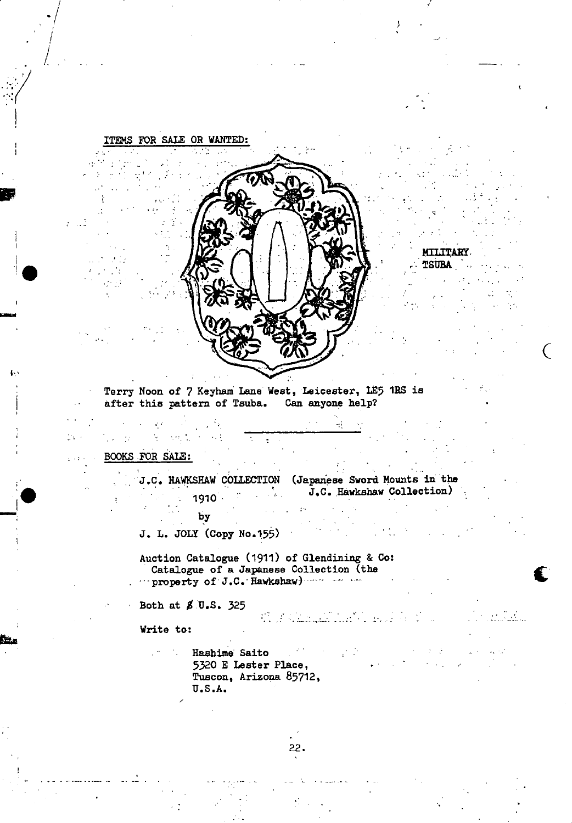